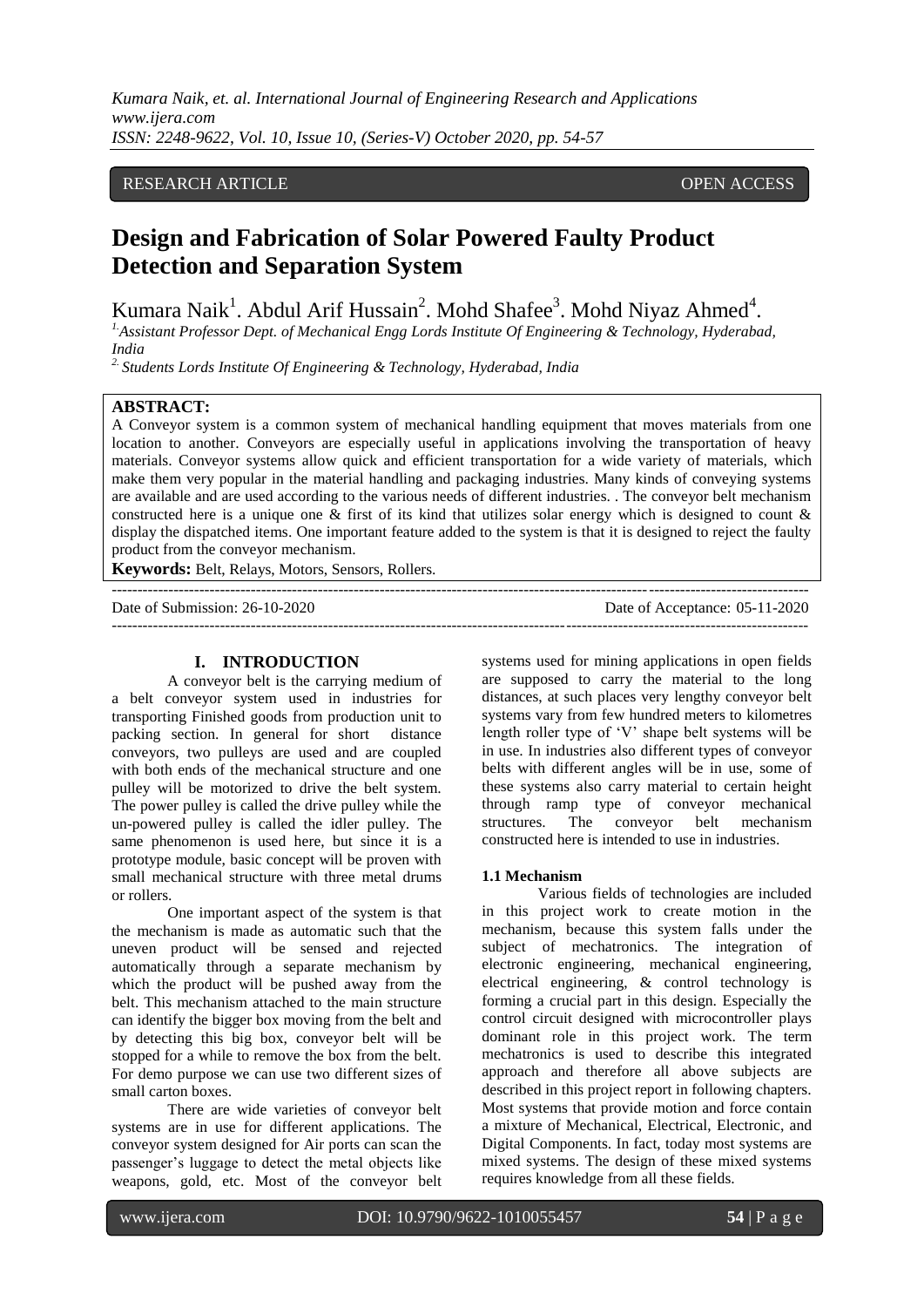*Kumara Naik, et. al. International Journal of Engineering Research and Applications www.ijera.com ISSN: 2248-9622, Vol. 10, Issue 10, (Series-V) October 2020, pp. 54-57*

## RESEARCH ARTICLE **OPEN ACCESS**

# **Design and Fabrication of Solar Powered Faulty Product Detection and Separation System**

Kumara Naik<sup>1</sup>. Abdul Arif Hussain<sup>2</sup>. Mohd Shafee<sup>3</sup>. Mohd Niyaz Ahmed<sup>4</sup>.

*1.Assistant Professor Dept. of Mechanical Engg Lords Institute Of Engineering & Technology, Hyderabad, India*

*2. Students Lords Institute Of Engineering & Technology, Hyderabad, India*

## **ABSTRACT:**

A Conveyor system is a common system of mechanical handling equipment that moves materials from one location to another. Conveyors are especially useful in applications involving the transportation of heavy materials. Conveyor systems allow quick and efficient transportation for a wide variety of materials, which make them very popular in the material handling and packaging industries. Many kinds of conveying systems are available and are used according to the various needs of different industries. . The conveyor belt mechanism constructed here is a unique one  $\&$  first of its kind that utilizes solar energy which is designed to count  $\&$ display the dispatched items. One important feature added to the system is that it is designed to reject the faulty product from the conveyor mechanism.

 $-1-\frac{1}{2}$ 

**Keywords:** Belt, Relays, Motors, Sensors, Rollers.

Date of Submission: 26-10-2020 Date of Acceptance: 05-11-2020

### **I. INTRODUCTION**

A conveyor belt is the carrying medium of a belt conveyor system used in industries for transporting Finished goods from production unit to packing section. In general for short distance conveyors, two pulleys are used and are coupled with both ends of the mechanical structure and one pulley will be motorized to drive the belt system. The power pulley is called the drive pulley while the un-powered pulley is called the idler pulley. The same phenomenon is used here, but since it is a prototype module, basic concept will be proven with small mechanical structure with three metal drums or rollers.

One important aspect of the system is that the mechanism is made as automatic such that the uneven product will be sensed and rejected automatically through a separate mechanism by which the product will be pushed away from the belt. This mechanism attached to the main structure can identify the bigger box moving from the belt and by detecting this big box, conveyor belt will be stopped for a while to remove the box from the belt. For demo purpose we can use two different sizes of small carton boxes.

There are wide varieties of conveyor belt systems are in use for different applications. The conveyor system designed for Air ports can scan the passenger"s luggage to detect the metal objects like weapons, gold, etc. Most of the conveyor belt

systems used for mining applications in open fields are supposed to carry the material to the long distances, at such places very lengthy conveyor belt systems vary from few hundred meters to kilometres length roller type of "V" shape belt systems will be in use. In industries also different types of conveyor belts with different angles will be in use, some of these systems also carry material to certain height through ramp type of conveyor mechanical structures. The conveyor belt mechanism constructed here is intended to use in industries.

## **1.1 Mechanism**

---------------------------------------------------------------------------------------------------------------------------------------

Various fields of technologies are included in this project work to create motion in the mechanism, because this system falls under the subject of mechatronics. The integration of electronic engineering, mechanical engineering, electrical engineering, & control technology is forming a crucial part in this design. Especially the control circuit designed with microcontroller plays dominant role in this project work. The term mechatronics is used to describe this integrated approach and therefore all above subjects are described in this project report in following chapters. Most systems that provide motion and force contain a mixture of Mechanical, Electrical, Electronic, and Digital Components. In fact, today most systems are mixed systems. The design of these mixed systems requires knowledge from all these fields.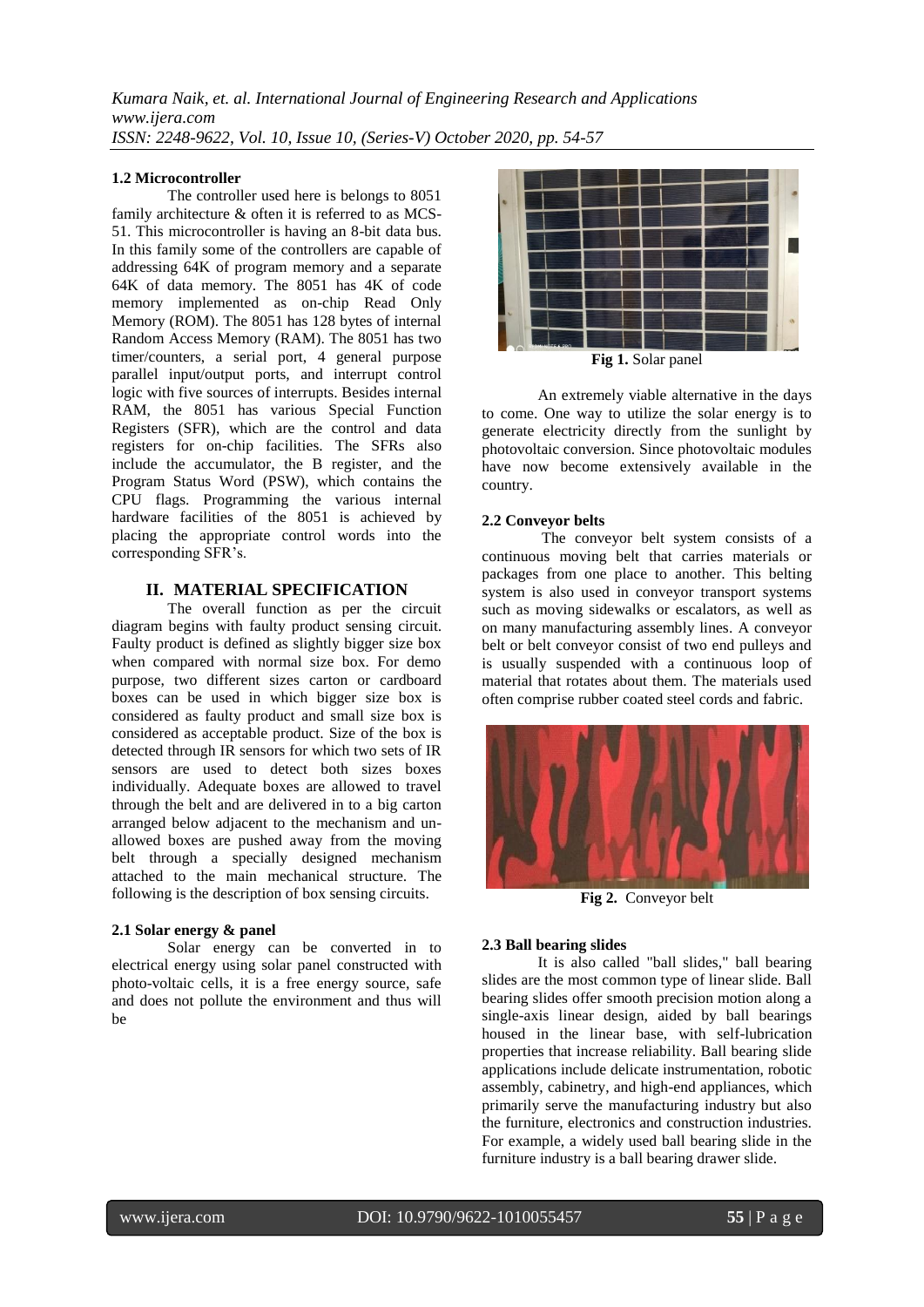*Kumara Naik, et. al. International Journal of Engineering Research and Applications www.ijera.com ISSN: 2248-9622, Vol. 10, Issue 10, (Series-V) October 2020, pp. 54-57*

### **1.2 Microcontroller**

The controller used here is belongs to 8051 family architecture & often it is referred to as MCS-51. This microcontroller is having an 8-bit data bus. In this family some of the controllers are capable of addressing 64K of program memory and a separate 64K of data memory. The 8051 has 4K of code memory implemented as on-chip Read Only Memory (ROM). The 8051 has 128 bytes of internal Random Access Memory (RAM). The 8051 has two timer/counters, a serial port, 4 general purpose parallel input/output ports, and interrupt control logic with five sources of interrupts. Besides internal RAM, the 8051 has various Special Function Registers (SFR), which are the control and data registers for on-chip facilities. The SFRs also include the accumulator, the B register, and the Program Status Word (PSW), which contains the CPU flags. Programming the various internal hardware facilities of the 8051 is achieved by placing the appropriate control words into the corresponding SFR"s.

## **II. MATERIAL SPECIFICATION**

The overall function as per the circuit diagram begins with faulty product sensing circuit. Faulty product is defined as slightly bigger size box when compared with normal size box. For demo purpose, two different sizes carton or cardboard boxes can be used in which bigger size box is considered as faulty product and small size box is considered as acceptable product. Size of the box is detected through IR sensors for which two sets of IR sensors are used to detect both sizes boxes individually. Adequate boxes are allowed to travel through the belt and are delivered in to a big carton arranged below adjacent to the mechanism and unallowed boxes are pushed away from the moving belt through a specially designed mechanism attached to the main mechanical structure. The following is the description of box sensing circuits.

#### **2.1 Solar energy & panel**

Solar energy can be converted in to electrical energy using solar panel constructed with photo-voltaic cells, it is a free energy source, safe and does not pollute the environment and thus will be



An extremely viable alternative in the days to come. One way to utilize the solar energy is to generate electricity directly from the sunlight by photovoltaic conversion. Since photovoltaic modules have now become extensively available in the country.

#### **2.2 Conveyor belts**

The conveyor belt system consists of a continuous moving belt that carries materials or packages from one place to another. This belting system is also used in conveyor transport systems such as moving sidewalks or escalators, as well as on many manufacturing assembly lines. A conveyor belt or belt conveyor consist of two end pulleys and is usually suspended with a continuous loop of material that rotates about them. The materials used often comprise rubber coated steel cords and fabric.



**Fig 2.** Conveyor belt

#### **2.3 Ball bearing slides**

It is also called "ball slides," ball bearing slides are the most common type of linear slide. Ball bearing slides offer smooth precision motion along a single-axis linear design, aided by ball bearings housed in the linear base, with self-lubrication properties that increase reliability. Ball bearing slide applications include delicate instrumentation, robotic assembly, cabinetry, and high-end appliances, which primarily serve the manufacturing industry but also the furniture, electronics and construction industries. For example, a widely used ball bearing slide in the furniture industry is a ball bearing drawer slide.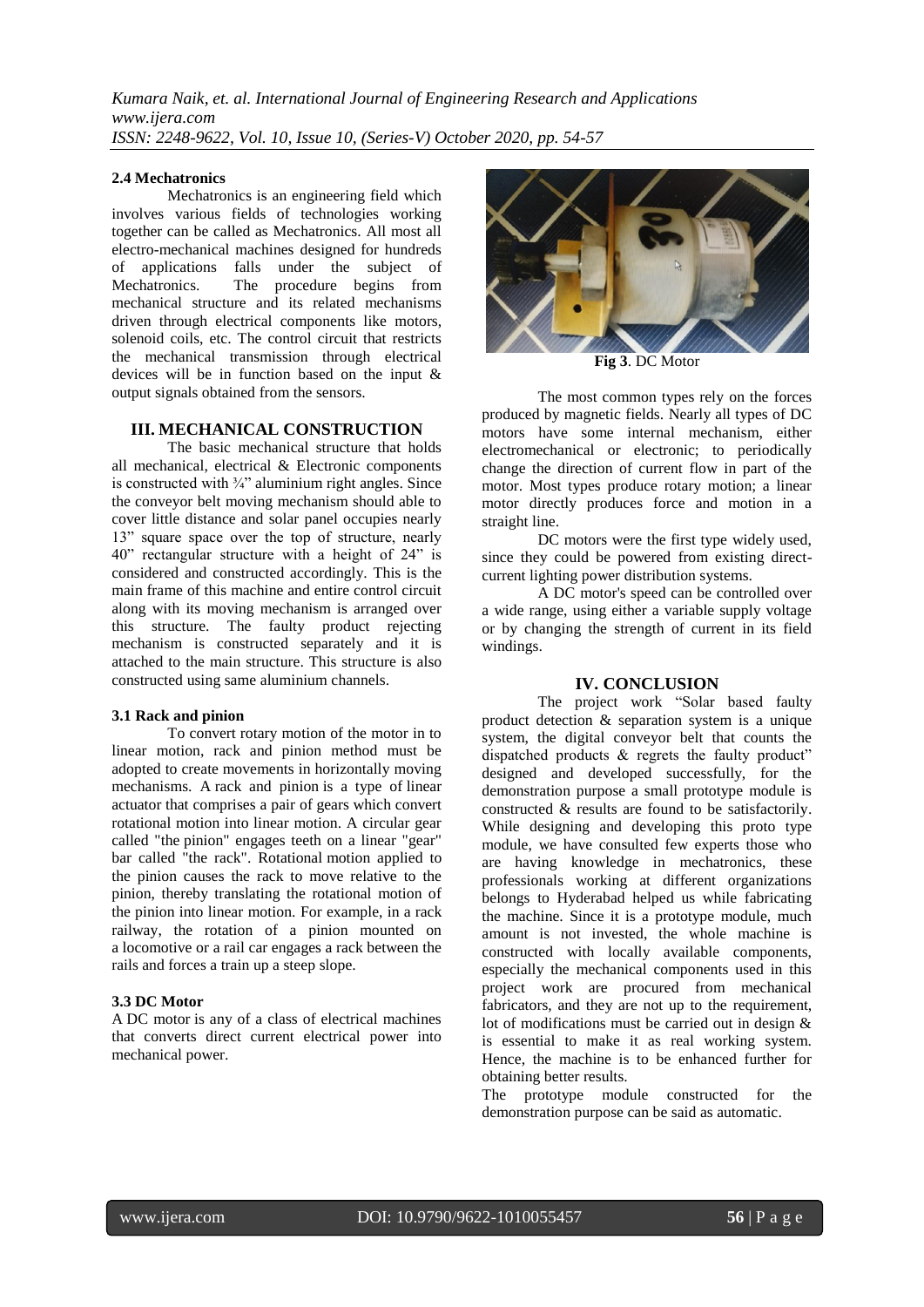*Kumara Naik, et. al. International Journal of Engineering Research and Applications www.ijera.com ISSN: 2248-9622, Vol. 10, Issue 10, (Series-V) October 2020, pp. 54-57*

#### **2.4 Mechatronics**

Mechatronics is an engineering field which involves various fields of technologies working together can be called as Mechatronics. All most all electro-mechanical machines designed for hundreds of applications falls under the subject of Mechatronics. The procedure begins from mechanical structure and its related mechanisms driven through electrical components like motors, solenoid coils, etc. The control circuit that restricts the mechanical transmission through electrical devices will be in function based on the input & output signals obtained from the sensors.

## **III. MECHANICAL CONSTRUCTION**

The basic mechanical structure that holds all mechanical, electrical & Electronic components is constructed with  $\frac{3}{4}$ " aluminium right angles. Since the conveyor belt moving mechanism should able to cover little distance and solar panel occupies nearly 13" square space over the top of structure, nearly 40" rectangular structure with a height of 24" is considered and constructed accordingly. This is the main frame of this machine and entire control circuit along with its moving mechanism is arranged over this structure. The faulty product rejecting mechanism is constructed separately and it is attached to the main structure. This structure is also constructed using same aluminium channels.

#### **3.1 Rack and pinion**

To convert rotary motion of the motor in to linear motion, rack and pinion method must be adopted to create movements in horizontally moving mechanisms. A rack and pinion is a type of linear actuator that comprises a pair of gears which convert rotational motion into linear motion. A circular gear called "the pinion" engages teeth on a linear "gear" bar called "the rack". Rotational motion applied to the pinion causes the rack to move relative to the pinion, thereby translating the rotational motion of the pinion into linear motion. For example, in a rack railway, the rotation of a pinion mounted on a locomotive or a rail car engages a rack between the rails and forces a train up a steep slope.

#### **3.3 DC Motor**

A DC motor is any of a class of electrical machines that converts direct current electrical power into mechanical power.



**Fig 3**. DC Motor

The most common types rely on the forces produced by magnetic fields. Nearly all types of DC motors have some internal mechanism, either electromechanical or electronic; to periodically change the direction of current flow in part of the motor. Most types produce rotary motion; a linear motor directly produces force and motion in a straight line.

DC motors were the first type widely used, since they could be powered from existing directcurrent lighting power distribution systems.

A DC motor's speed can be controlled over a wide range, using either a variable supply voltage or by changing the strength of current in its field windings.

#### **IV. CONCLUSION**

The project work "Solar based faulty product detection & separation system is a unique system, the digital conveyor belt that counts the dispatched products & regrets the faulty product" designed and developed successfully, for the demonstration purpose a small prototype module is constructed & results are found to be satisfactorily. While designing and developing this proto type module, we have consulted few experts those who are having knowledge in mechatronics, these professionals working at different organizations belongs to Hyderabad helped us while fabricating the machine. Since it is a prototype module, much amount is not invested, the whole machine is constructed with locally available components, especially the mechanical components used in this project work are procured from mechanical fabricators, and they are not up to the requirement, lot of modifications must be carried out in design & is essential to make it as real working system. Hence, the machine is to be enhanced further for obtaining better results.

The prototype module constructed for the demonstration purpose can be said as automatic.